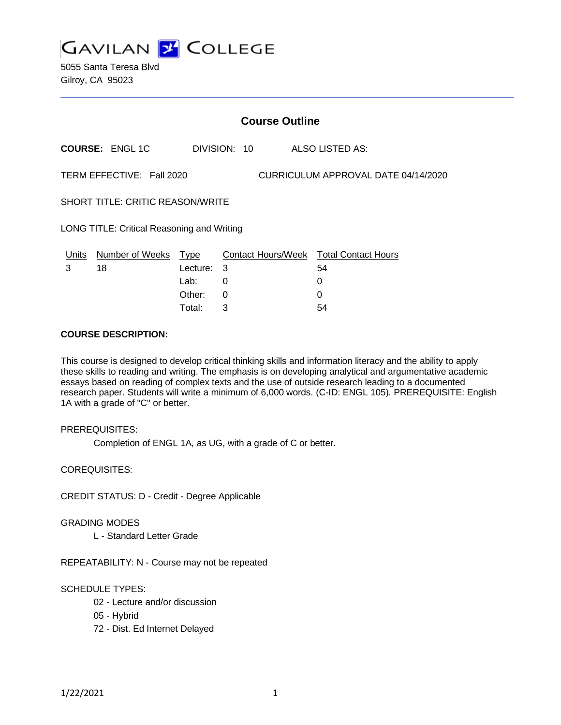

5055 Santa Teresa Blvd Gilroy, CA 95023

|                                            | <b>Course Outline</b>        |                         |              |                                     |                                                     |  |  |
|--------------------------------------------|------------------------------|-------------------------|--------------|-------------------------------------|-----------------------------------------------------|--|--|
|                                            | <b>COURSE: ENGL 1C</b>       |                         | DIVISION: 10 |                                     | ALSO LISTED AS:                                     |  |  |
| TERM EFFECTIVE: Fall 2020                  |                              |                         |              | CURRICULUM APPROVAL DATE 04/14/2020 |                                                     |  |  |
| <b>SHORT TITLE: CRITIC REASON/WRITE</b>    |                              |                         |              |                                     |                                                     |  |  |
| LONG TITLE: Critical Reasoning and Writing |                              |                         |              |                                     |                                                     |  |  |
| Units<br>3                                 | <b>Number of Weeks</b><br>18 | <b>Type</b><br>Lecture: | 3            |                                     | <b>Contact Hours/Week Total Contact Hours</b><br>54 |  |  |
|                                            |                              | Lab:<br>Other:          | 0<br>0       |                                     | 0<br>0                                              |  |  |

Total: 3 54

### **COURSE DESCRIPTION:**

This course is designed to develop critical thinking skills and information literacy and the ability to apply these skills to reading and writing. The emphasis is on developing analytical and argumentative academic essays based on reading of complex texts and the use of outside research leading to a documented research paper. Students will write a minimum of 6,000 words. (C-ID: ENGL 105). PREREQUISITE: English 1A with a grade of "C" or better.

#### PREREQUISITES:

Completion of ENGL 1A, as UG, with a grade of C or better.

COREQUISITES:

CREDIT STATUS: D - Credit - Degree Applicable

#### GRADING MODES

L - Standard Letter Grade

REPEATABILITY: N - Course may not be repeated

# SCHEDULE TYPES:

- 02 Lecture and/or discussion
- 05 Hybrid
- 72 Dist. Ed Internet Delayed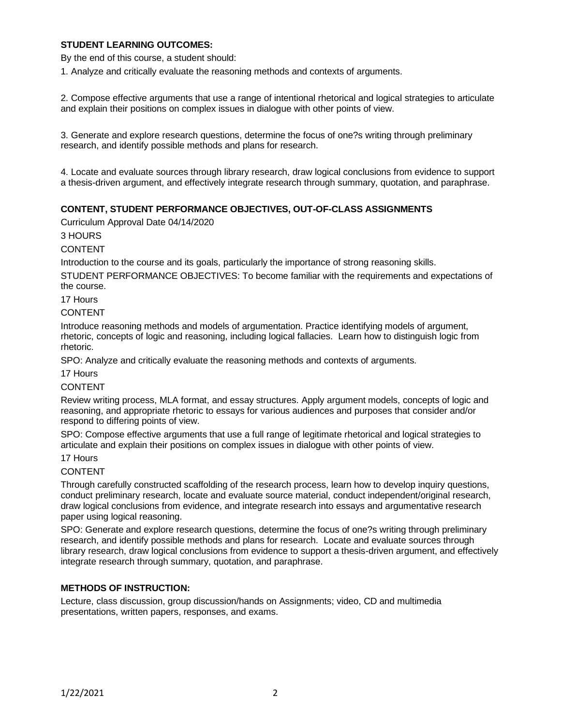# **STUDENT LEARNING OUTCOMES:**

By the end of this course, a student should:

1. Analyze and critically evaluate the reasoning methods and contexts of arguments.

2. Compose effective arguments that use a range of intentional rhetorical and logical strategies to articulate and explain their positions on complex issues in dialogue with other points of view.

3. Generate and explore research questions, determine the focus of one?s writing through preliminary research, and identify possible methods and plans for research.

4. Locate and evaluate sources through library research, draw logical conclusions from evidence to support a thesis-driven argument, and effectively integrate research through summary, quotation, and paraphrase.

# **CONTENT, STUDENT PERFORMANCE OBJECTIVES, OUT-OF-CLASS ASSIGNMENTS**

Curriculum Approval Date 04/14/2020

3 HOURS

#### CONTENT

Introduction to the course and its goals, particularly the importance of strong reasoning skills.

STUDENT PERFORMANCE OBJECTIVES: To become familiar with the requirements and expectations of the course.

17 Hours

### **CONTENT**

Introduce reasoning methods and models of argumentation. Practice identifying models of argument, rhetoric, concepts of logic and reasoning, including logical fallacies. Learn how to distinguish logic from rhetoric.

SPO: Analyze and critically evaluate the reasoning methods and contexts of arguments.

### 17 Hours

# CONTENT

Review writing process, MLA format, and essay structures. Apply argument models, concepts of logic and reasoning, and appropriate rhetoric to essays for various audiences and purposes that consider and/or respond to differing points of view.

SPO: Compose effective arguments that use a full range of legitimate rhetorical and logical strategies to articulate and explain their positions on complex issues in dialogue with other points of view.

#### 17 Hours

#### CONTENT

Through carefully constructed scaffolding of the research process, learn how to develop inquiry questions, conduct preliminary research, locate and evaluate source material, conduct independent/original research, draw logical conclusions from evidence, and integrate research into essays and argumentative research paper using logical reasoning.

SPO: Generate and explore research questions, determine the focus of one?s writing through preliminary research, and identify possible methods and plans for research. Locate and evaluate sources through library research, draw logical conclusions from evidence to support a thesis-driven argument, and effectively integrate research through summary, quotation, and paraphrase.

# **METHODS OF INSTRUCTION:**

Lecture, class discussion, group discussion/hands on Assignments; video, CD and multimedia presentations, written papers, responses, and exams.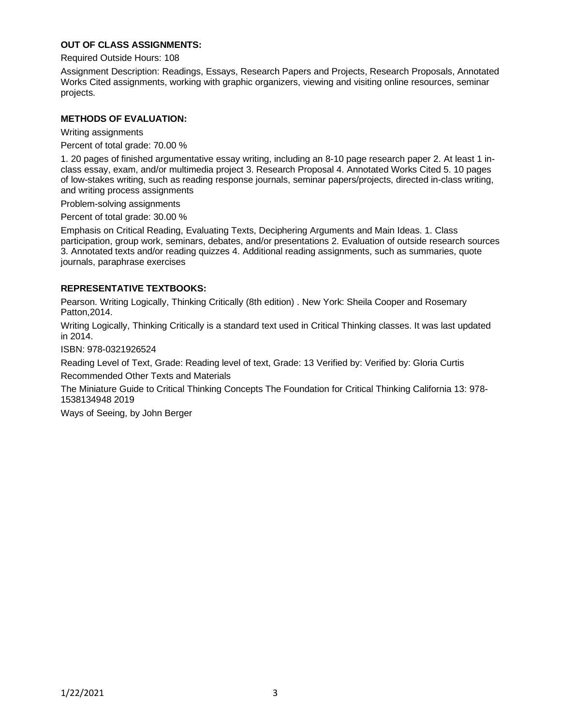# **OUT OF CLASS ASSIGNMENTS:**

Required Outside Hours: 108

Assignment Description: Readings, Essays, Research Papers and Projects, Research Proposals, Annotated Works Cited assignments, working with graphic organizers, viewing and visiting online resources, seminar projects.

### **METHODS OF EVALUATION:**

Writing assignments

Percent of total grade: 70.00 %

1. 20 pages of finished argumentative essay writing, including an 8-10 page research paper 2. At least 1 inclass essay, exam, and/or multimedia project 3. Research Proposal 4. Annotated Works Cited 5. 10 pages of low-stakes writing, such as reading response journals, seminar papers/projects, directed in-class writing, and writing process assignments

Problem-solving assignments

Percent of total grade: 30.00 %

Emphasis on Critical Reading, Evaluating Texts, Deciphering Arguments and Main Ideas. 1. Class participation, group work, seminars, debates, and/or presentations 2. Evaluation of outside research sources 3. Annotated texts and/or reading quizzes 4. Additional reading assignments, such as summaries, quote journals, paraphrase exercises

### **REPRESENTATIVE TEXTBOOKS:**

Pearson. Writing Logically, Thinking Critically (8th edition) . New York: Sheila Cooper and Rosemary Patton,2014.

Writing Logically, Thinking Critically is a standard text used in Critical Thinking classes. It was last updated in 2014.

ISBN: 978-0321926524

Reading Level of Text, Grade: Reading level of text, Grade: 13 Verified by: Verified by: Gloria Curtis Recommended Other Texts and Materials

The Miniature Guide to Critical Thinking Concepts The Foundation for Critical Thinking California 13: 978- 1538134948 2019

Ways of Seeing, by John Berger